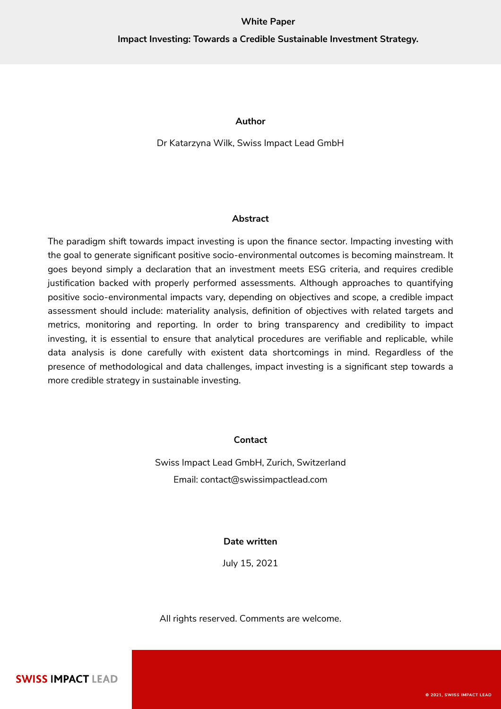### **White Paper**

# **Impact Investing: Towards a Credible Sustainable Investment Strategy.**

### **Author**

Dr Katarzyna Wilk, Swiss Impact Lead GmbH

### **Abstract**

The paradigm shift towards impact investing is upon the finance sector. Impacting investing with the goal to generate significant positive socio-environmental outcomes is becoming mainstream. It goes beyond simply a declaration that an investment meets ESG criteria, and requires credible justification backed with properly performed assessments. Although approaches to quantifying positive socio-environmental impacts vary, depending on objectives and scope, a credible impact assessment should include: materiality analysis, definition of objectives with related targets and metrics, monitoring and reporting. In order to bring transparency and credibility to impact investing, it is essential to ensure that analytical procedures are verifiable and replicable, while data analysis is done carefully with existent data shortcomings in mind. Regardless of the presence of methodological and data challenges, impact investing is a significant step towards a more credible strategy in sustainable investing.

## **Contact**

Swiss Impact Lead GmbH, Zurich, Switzerland Email: [contact@swissimpactlead.com](mailto:contact@swissimactlead.com)

### **Date written**

July 15, 2021

All rights reserved. Comments are welcome.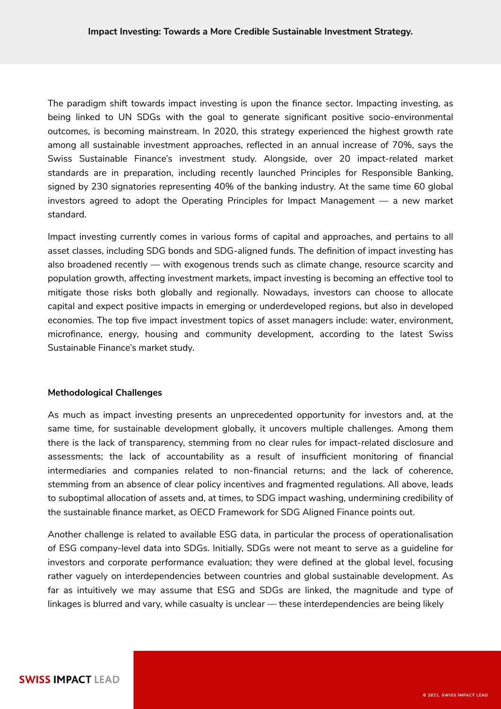The paradigm shift towards impact investing is upon the finance sector. Impacting investing, as being linked to UN SDGs with the goal to generate significant positive socio-environmental outcomes, is becoming mainstream. In 2020, this strategy experienced the highest growth rate among all sustainable investment approaches, reflected in an annual increase of 70%, says the Swiss Sustainable Finance's investment study. Alongside, over 20 impact-related market standards are in preparation, including recently launched Principles for Responsible Banking, signed by 230 signatories representing 40% of the banking industry. At the same time 60 global investors agreed to adopt the Operating Principles for Impact Management — a new market standard.

Impact investing currently comes in various forms of capital and approaches, and pertains to all asset classes, including SDG bonds and SDG-aligned funds. The definition of impact investing has also broadened recently — with exogenous trends such as climate change, resource scarcity and population growth, affecting investment markets, impact investing is becoming an effective tool to mitigate those risks both globally and regionally. Nowadays, investors can choose to allocate capital and expect positive impacts in emerging or underdeveloped regions, but also in developed economies. The top five impact investment topics of asset managers include: water, environment, microfinance, energy, housing and community development, according to the latest Swiss Sustainable Finance's market study.

### **Methodological Challenges**

As much as impact investing presents an unprecedented opportunity for investors and, at the same time, for sustainable development globally, it uncovers multiple challenges. Among them there is the lack of transparency, stemming from no clear rules for impact-related disclosure and assessments; the lack of accountability as a result of insufficient monitoring of financial intermediaries and companies related to non-financial returns; and the lack of coherence, stemming from an absence of clear policy incentives and fragmented regulations. All above, leads to suboptimal allocation of assets and, at times, to SDG impact washing, undermining credibility of the sustainable finance market, as OECD Framework for SDG Aligned Finance points out.

Another challenge is related to available ESG data, in particular the process of operationalisation of ESG company-level data into SDGs. Initially, SDGs were not meant to serve as a guideline for investors and corporate performance evaluation; they were defined at the global level, focusing rather vaguely on interdependencies between countries and global sustainable development. As far as intuitively we may assume that ESG and SDGs are linked, the magnitude and type of linkages is blurred and vary, while casualty is unclear — these interdependencies are being likely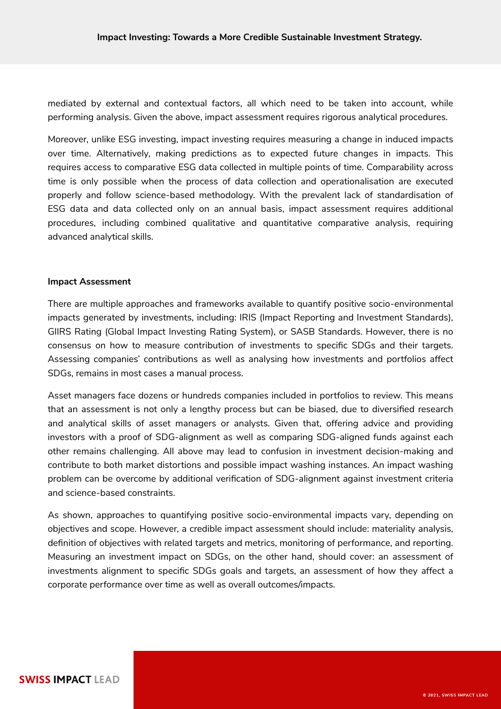mediated by external and contextual factors, all which need to be taken into account, while performing analysis. Given the above, impact assessment requires rigorous analytical procedures.

Moreover, unlike ESG investing, impact investing requires measuring a change in induced impacts over time. Alternatively, making predictions as to expected future changes in impacts. This requires access to comparative ESG data collected in multiple points of time. Comparability across time is only possible when the process of data collection and operationalisation are executed properly and follow science-based methodology. With the prevalent lack of standardisation of ESG data and data collected only on an annual basis, impact assessment requires additional procedures, including combined qualitative and quantitative comparative analysis, requiring advanced analytical skills.

# **Impact Assessment**

There are multiple approaches and frameworks available to quantify positive socio-environmental impacts generated by investments, including: IRIS (Impact Reporting and Investment Standards), GIIRS Rating (Global Impact Investing Rating System), or SASB Standards. However, there is no consensus on how to measure contribution of investments to specific SDGs and their targets. Assessing companies' contributions as well as analysing how investments and portfolios affect SDGs, remains in most cases a manual process.

Asset managers face dozens or hundreds companies included in portfolios to review. This means that an assessment is not only a lengthy process but can be biased, due to diversified research and analytical skills of asset managers or analysts. Given that, offering advice and providing investors with a proof of SDG-alignment as well as comparing SDG-aligned funds against each other remains challenging. All above may lead to confusion in investment decision-making and contribute to both market distortions and possible impact washing instances. An impact washing problem can be overcome by additional verification of SDG-alignment against investment criteria and science-based constraints.

As shown, approaches to quantifying positive socio-environmental impacts vary, depending on objectives and scope. However, a credible impact assessment should include: materiality analysis, definition of objectives with related targets and metrics, monitoring of performance, and reporting. Measuring an investment impact on SDGs, on the other hand, should cover: an assessment of investments alignment to specific SDGs goals and targets, an assessment of how they affect a corporate performance over time as well as overall outcomes/impacts.